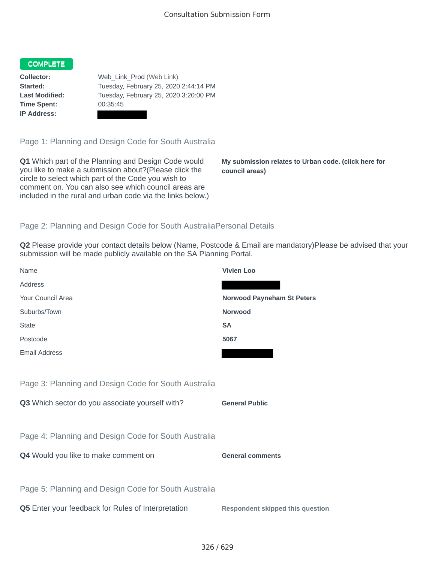## COMPLETE

**Time Spent:** 00:35:45 **IP Address:**

**Collector:** Web\_Link\_Prod (Web Link) **Started:** Tuesday, February 25, 2020 2:44:14 PM **Last Modified:** Tuesday, February 25, 2020 3:20:00 PM

Page 1: Planning and Design Code for South Australia

**Q1** Which part of the Planning and Design Code would you like to make a submission about?(Please click the circle to select which part of the Code you wish to comment on. You can also see which council areas are included in the rural and urban code via the links below.)

**My submission relates to Urban code. (click here for council areas)**

## Page 2: Planning and Design Code for South AustraliaPersonal Details

**Q2** Please provide your contact details below (Name, Postcode & Email are mandatory)Please be advised that your submission will be made publicly available on the SA Planning Portal.

| Name                                                 | <b>Vivien Loo</b>                       |
|------------------------------------------------------|-----------------------------------------|
| Address                                              |                                         |
| Your Council Area                                    | <b>Norwood Payneham St Peters</b>       |
| Suburbs/Town                                         | <b>Norwood</b>                          |
| <b>State</b>                                         | <b>SA</b>                               |
| Postcode                                             | 5067                                    |
| <b>Email Address</b>                                 |                                         |
|                                                      |                                         |
| Page 3: Planning and Design Code for South Australia |                                         |
| Q3 Which sector do you associate yourself with?      | <b>General Public</b>                   |
|                                                      |                                         |
| Page 4: Planning and Design Code for South Australia |                                         |
| Q4 Would you like to make comment on                 | <b>General comments</b>                 |
|                                                      |                                         |
| Page 5: Planning and Design Code for South Australia |                                         |
| Q5 Enter your feedback for Rules of Interpretation   | <b>Respondent skipped this question</b> |
|                                                      |                                         |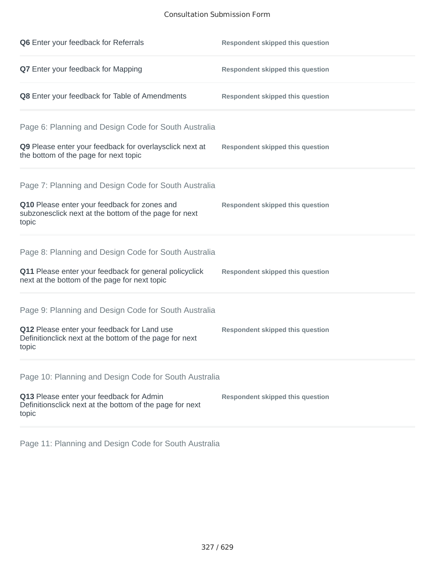## Consultation Submission Form

| <b>Q6</b> Enter your feedback for Referrals                                                                     | <b>Respondent skipped this question</b> |
|-----------------------------------------------------------------------------------------------------------------|-----------------------------------------|
| Q7 Enter your feedback for Mapping                                                                              | <b>Respondent skipped this question</b> |
| Q8 Enter your feedback for Table of Amendments                                                                  | <b>Respondent skipped this question</b> |
| Page 6: Planning and Design Code for South Australia                                                            |                                         |
| Q9 Please enter your feedback for overlaysclick next at<br>the bottom of the page for next topic                | <b>Respondent skipped this question</b> |
| Page 7: Planning and Design Code for South Australia                                                            |                                         |
| Q10 Please enter your feedback for zones and<br>subzonesclick next at the bottom of the page for next<br>topic  | <b>Respondent skipped this question</b> |
| Page 8: Planning and Design Code for South Australia                                                            |                                         |
| Q11 Please enter your feedback for general policyclick<br>next at the bottom of the page for next topic         | <b>Respondent skipped this question</b> |
| Page 9: Planning and Design Code for South Australia                                                            |                                         |
| Q12 Please enter your feedback for Land use<br>Definitionclick next at the bottom of the page for next<br>topic | <b>Respondent skipped this question</b> |
| Page 10: Planning and Design Code for South Australia                                                           |                                         |
| Q13 Please enter your feedback for Admin<br>Definitionsclick next at the bottom of the page for next<br>topic   | <b>Respondent skipped this question</b> |

Page 11: Planning and Design Code for South Australia